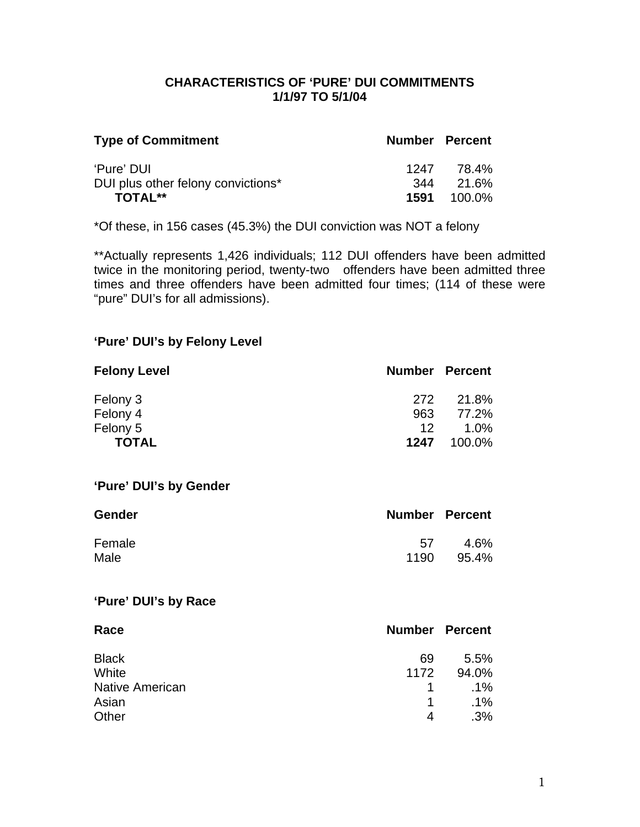## **CHARACTERISTICS OF 'PURE' DUI COMMITMENTS 1/1/97 TO 5/1/04**

| <b>Type of Commitment</b>          | <b>Number Percent</b> |                    |
|------------------------------------|-----------------------|--------------------|
| 'Pure' DUI                         |                       | 1247 78.4%         |
| DUI plus other felony convictions* |                       | 344 21.6%          |
| <b>TOTAL**</b>                     |                       | <b>1591</b> 100.0% |

\*Of these, in 156 cases (45.3%) the DUI conviction was NOT a felony

\*\*Actually represents 1,426 individuals; 112 DUI offenders have been admitted twice in the monitoring period, twenty-two offenders have been admitted three times and three offenders have been admitted four times; (114 of these were "pure" DUI's for all admissions).

## **'Pure' DUI's by Felony Level**

| <b>Felony Level</b> | <b>Number Percent</b> |        |
|---------------------|-----------------------|--------|
| Felony 3            | 272                   | 21.8%  |
| Felony 4            | 963                   | 77.2%  |
| Felony 5            | 12.                   | 1.0%   |
| <b>TOTAL</b>        | 1247                  | 100.0% |

#### **'Pure' DUI's by Gender**

| <b>Gender</b> | <b>Number Percent</b> |       |
|---------------|-----------------------|-------|
| Female        | 57                    | 4.6%  |
| Male          | 1190                  | 95.4% |

### **'Pure' DUI's by Race**

| Race                   | <b>Number Percent</b> |        |
|------------------------|-----------------------|--------|
| <b>Black</b>           | 69                    | 5.5%   |
| White                  | 1172                  | 94.0%  |
| <b>Native American</b> |                       | $.1\%$ |
| Asian                  | 1                     | $.1\%$ |
| Other                  | 4                     | .3%    |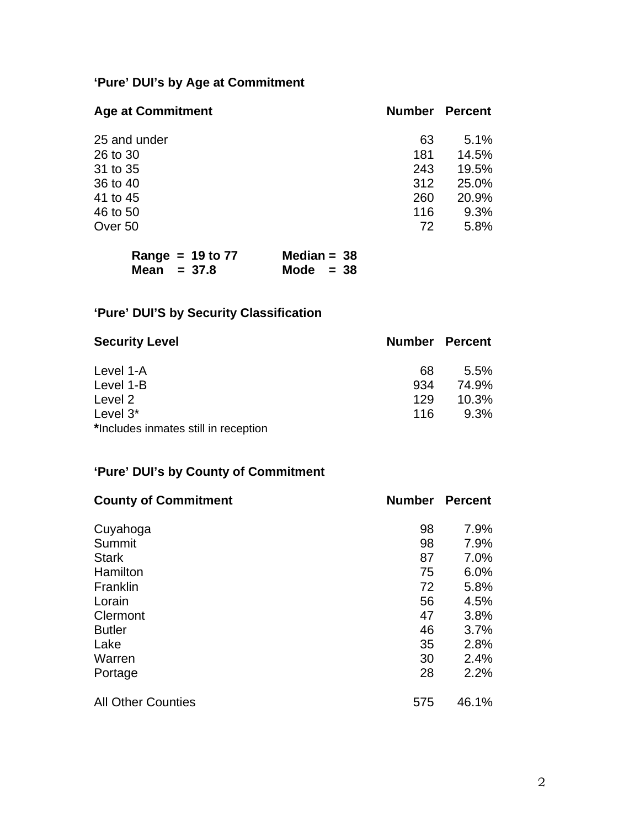# **'Pure' DUI's by Age at Commitment**

| <b>Age at Commitment</b> | <b>Number</b> | <b>Percent</b> |
|--------------------------|---------------|----------------|
| 25 and under             | 63            | 5.1%           |
| 26 to 30                 | 181           | 14.5%          |
| 31 to 35                 | 243           | 19.5%          |
| 36 to 40                 | 312           | 25.0%          |
| 41 to 45                 | 260           | 20.9%          |
| 46 to 50                 | 116           | 9.3%           |
| Over 50                  | 72            | 5.8%           |

| Range = $19$ to $77$ | Median = $38$ |
|----------------------|---------------|
| Mean $= 37.8$        | Mode $= 38$   |

# **'Pure' DUI'S by Security Classification**

| <b>Security Level</b>                | <b>Number Percent</b> |       |
|--------------------------------------|-----------------------|-------|
| Level 1-A                            | 68                    | 5.5%  |
| Level 1-B                            | 934                   | 74.9% |
| Level 2                              | 129                   | 10.3% |
| Level $3^*$                          | 116                   | 9.3%  |
| *Includes inmates still in reception |                       |       |

## **'Pure' DUI's by County of Commitment**

| <b>County of Commitment</b> | <b>Number</b> | <b>Percent</b> |
|-----------------------------|---------------|----------------|
| Cuyahoga                    | 98            | 7.9%           |
| Summit                      | 98            | 7.9%           |
| <b>Stark</b>                | 87            | 7.0%           |
| Hamilton                    | 75            | 6.0%           |
| Franklin                    | 72            | 5.8%           |
| Lorain                      | 56            | 4.5%           |
| Clermont                    | 47            | 3.8%           |
| <b>Butler</b>               | 46            | 3.7%           |
| Lake                        | 35            | 2.8%           |
| Warren                      | 30            | 2.4%           |
| Portage                     | 28            | 2.2%           |
| <b>All Other Counties</b>   | 575           | 46.1%          |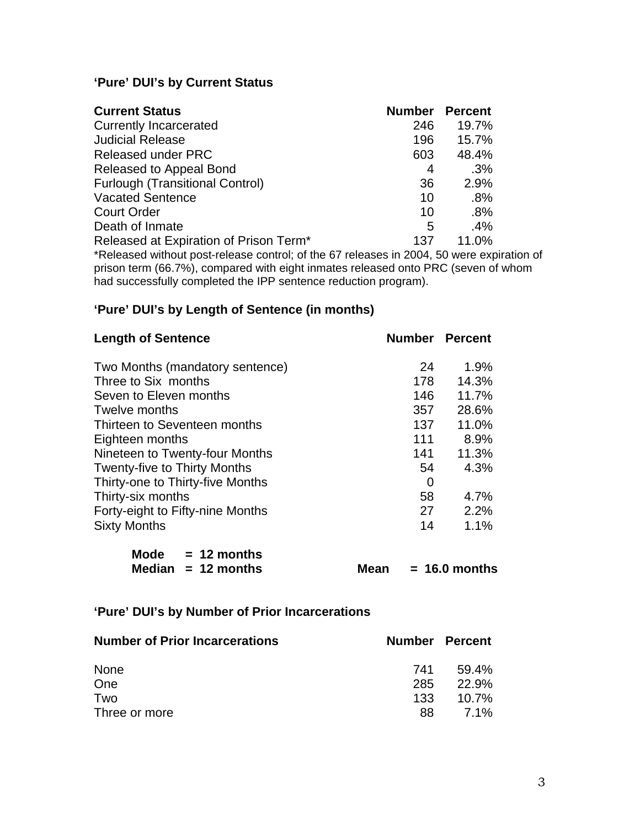## **'Pure' DUI's by Current Status**

| <b>Current Status</b>                                                            | <b>Number</b> | <b>Percent</b> |
|----------------------------------------------------------------------------------|---------------|----------------|
| <b>Currently Incarcerated</b>                                                    | 246           | 19.7%          |
| <b>Judicial Release</b>                                                          | 196           | 15.7%          |
| <b>Released under PRC</b>                                                        | 603           | 48.4%          |
| Released to Appeal Bond                                                          | 4             | $.3\%$         |
| <b>Furlough (Transitional Control)</b>                                           | 36            | 2.9%           |
| <b>Vacated Sentence</b>                                                          | 10            | .8%            |
| <b>Court Order</b>                                                               | 10            | .8%            |
| Death of Inmate                                                                  | 5             | .4%            |
| Released at Expiration of Prison Term <sup>*</sup>                               | 137           | 11.0%          |
| *Polograd without post release control: of the 67 releases in 2004 50 were evoir |               |                |

\*Released without post-release control; of the 67 releases in 2004, 50 were expiration of prison term (66.7%), compared with eight inmates released onto PRC (seven of whom had successfully completed the IPP sentence reduction program).

## **'Pure' DUI's by Length of Sentence (in months)**

|     | <b>Number Percent</b> |
|-----|-----------------------|
| 24  | 1.9%                  |
| 178 | 14.3%                 |
| 146 | 11.7%                 |
| 357 | 28.6%                 |
| 137 | 11.0%                 |
| 111 | 8.9%                  |
| 141 | 11.3%                 |
| 54  | 4.3%                  |
| 0   |                       |
| 58  | 4.7%                  |
| 27  | 2.2%                  |
| 14  | 1.1%                  |
|     |                       |

| Mode | $= 12$ months        |
|------|----------------------|
|      | Median $= 12$ months |

**Mean = 16.0 months** 

## **'Pure' DUI's by Number of Prior Incarcerations**

| <b>Number of Prior Incarcerations</b> |     | <b>Number Percent</b> |
|---------------------------------------|-----|-----------------------|
| <b>None</b>                           | 741 | 59.4%                 |
| One                                   | 285 | 22.9%                 |
| Two                                   | 133 | 10.7%                 |
| Three or more                         | 88. | <b>7.1%</b>           |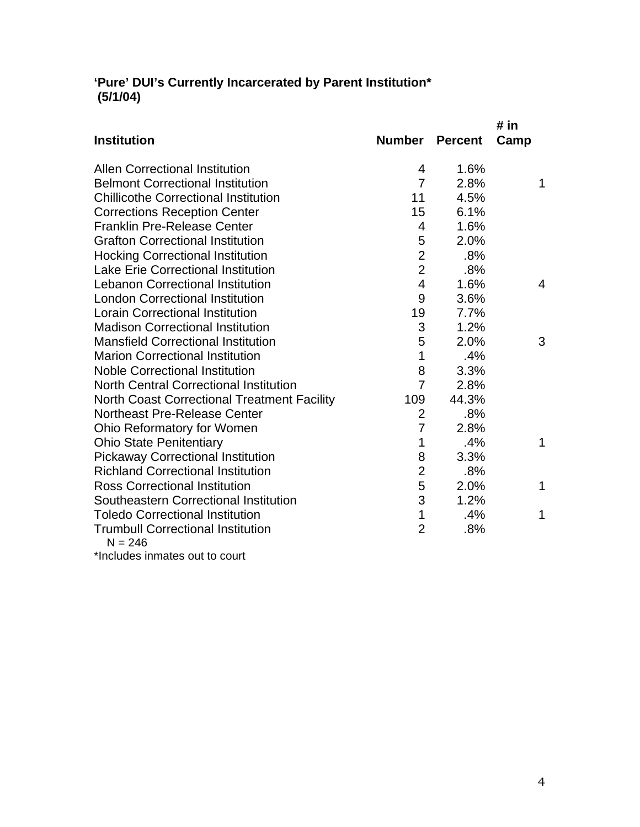## **'Pure' DUI's Currently Incarcerated by Parent Institution\* (5/1/04)**

|                                                       |                |                | # in           |
|-------------------------------------------------------|----------------|----------------|----------------|
| <b>Institution</b>                                    | <b>Number</b>  | <b>Percent</b> | Camp           |
| <b>Allen Correctional Institution</b>                 | 4              | 1.6%           |                |
| <b>Belmont Correctional Institution</b>               | $\overline{7}$ | 2.8%           | 1              |
| <b>Chillicothe Correctional Institution</b>           | 11             | 4.5%           |                |
| <b>Corrections Reception Center</b>                   | 15             | 6.1%           |                |
| <b>Franklin Pre-Release Center</b>                    | $\overline{4}$ | 1.6%           |                |
| <b>Grafton Correctional Institution</b>               | 5              | 2.0%           |                |
| <b>Hocking Correctional Institution</b>               | $\overline{2}$ | .8%            |                |
| <b>Lake Erie Correctional Institution</b>             | $\overline{2}$ | .8%            |                |
| <b>Lebanon Correctional Institution</b>               | $\overline{4}$ | 1.6%           | $\overline{4}$ |
| <b>London Correctional Institution</b>                | 9              | 3.6%           |                |
| <b>Lorain Correctional Institution</b>                | 19             | 7.7%           |                |
| <b>Madison Correctional Institution</b>               | 3              | 1.2%           |                |
| <b>Mansfield Correctional Institution</b>             | 5              | 2.0%           | 3              |
| <b>Marion Correctional Institution</b>                | 1              | .4%            |                |
| <b>Noble Correctional Institution</b>                 | 8              | 3.3%           |                |
| <b>North Central Correctional Institution</b>         | $\overline{7}$ | 2.8%           |                |
| <b>North Coast Correctional Treatment Facility</b>    | 109            | 44.3%          |                |
| Northeast Pre-Release Center                          | $\overline{2}$ | .8%            |                |
| Ohio Reformatory for Women                            | $\overline{7}$ | 2.8%           |                |
| <b>Ohio State Penitentiary</b>                        | 1              | .4%            | 1              |
| <b>Pickaway Correctional Institution</b>              | 8              | 3.3%           |                |
| <b>Richland Correctional Institution</b>              | $\overline{2}$ | .8%            |                |
| <b>Ross Correctional Institution</b>                  | 5              | 2.0%           | 1              |
| Southeastern Correctional Institution                 | 3              | 1.2%           |                |
| <b>Toledo Correctional Institution</b>                | $\mathbf 1$    | .4%            | 1              |
| <b>Trumbull Correctional Institution</b><br>$N = 246$ | $\overline{2}$ | .8%            |                |
|                                                       |                |                |                |

\*Includes inmates out to court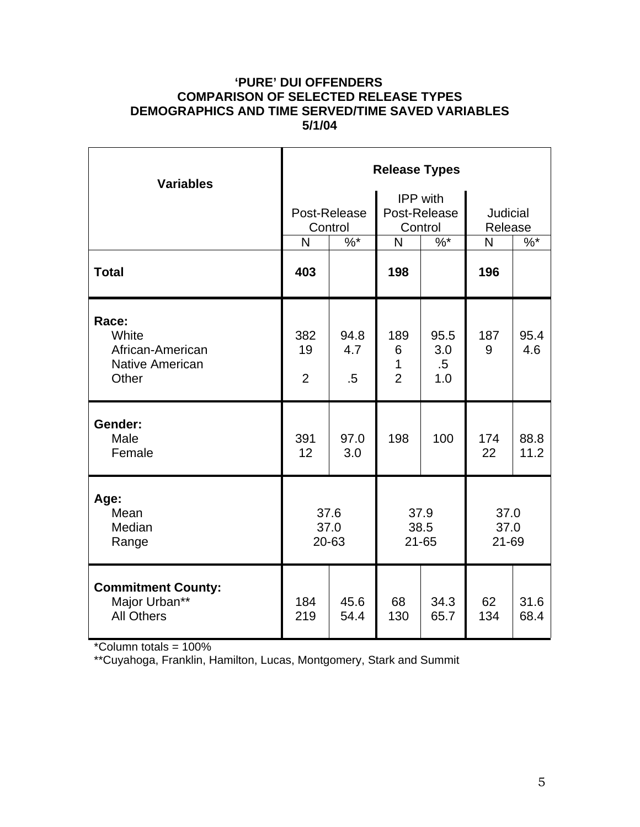## **'PURE' DUI OFFENDERS COMPARISON OF SELECTED RELEASE TYPES DEMOGRAPHICS AND TIME SERVED/TIME SAVED VARIABLES 5/1/04**

| <b>Variables</b>                                                      | <b>Release Types</b>        |                         |                                            |                              |                            |              |  |
|-----------------------------------------------------------------------|-----------------------------|-------------------------|--------------------------------------------|------------------------------|----------------------------|--------------|--|
|                                                                       |                             | Post-Release<br>Control | <b>IPP</b> with<br>Post-Release<br>Control |                              | <b>Judicial</b><br>Release |              |  |
|                                                                       | N                           | $\%$ *                  | N                                          | $\%$ *                       | N                          | $\%$ *       |  |
| <b>Total</b>                                                          | 403                         |                         | 198                                        |                              | 196                        |              |  |
| Race:<br>White<br>African-American<br><b>Native American</b><br>Other | 382<br>19<br>$\overline{2}$ | 94.8<br>4.7<br>.5       | 189<br>6<br>1<br>$\overline{2}$            | 95.5<br>3.0<br>$.5\,$<br>1.0 | 187<br>9                   | 95.4<br>4.6  |  |
| Gender:<br>Male<br>Female                                             | 391<br>12                   | 97.0<br>3.0             | 198                                        | 100                          | 174<br>22                  | 88.8<br>11.2 |  |
| Age:<br>Mean<br>Median<br>Range                                       | 37.6<br>37.0<br>20-63       |                         | 37.9<br>38.5<br>$21 - 65$                  |                              | 37.0<br>37.0<br>21-69      |              |  |
| <b>Commitment County:</b><br>Major Urban**<br><b>All Others</b>       | 184<br>219                  | 45.6<br>54.4            | 68<br>130                                  | 34.3<br>65.7                 | 62<br>134                  | 31.6<br>68.4 |  |

\*Column totals = 100%

\*\*Cuyahoga, Franklin, Hamilton, Lucas, Montgomery, Stark and Summit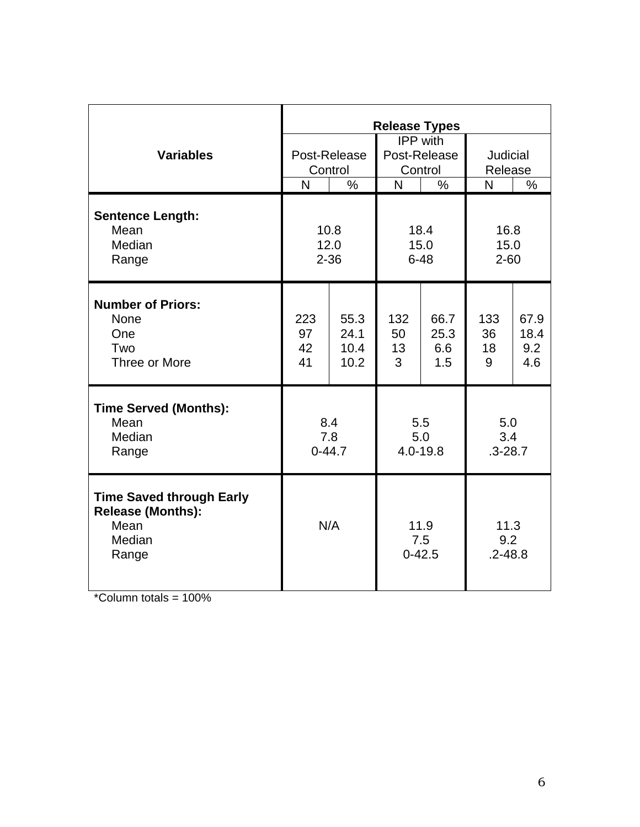|                                                                                        | <b>Release Types</b>     |                              |                                            |                            |                            |                            |
|----------------------------------------------------------------------------------------|--------------------------|------------------------------|--------------------------------------------|----------------------------|----------------------------|----------------------------|
| <b>Variables</b>                                                                       | Post-Release<br>Control  |                              | <b>IPP</b> with<br>Post-Release<br>Control |                            | Judicial<br>Release        |                            |
|                                                                                        | $\overline{\mathsf{N}}$  | $\frac{0}{0}$                | N                                          | $\frac{0}{0}$              | N                          | $\%$                       |
| <b>Sentence Length:</b><br>Mean<br>Median<br>Range                                     | 10.8<br>12.0<br>$2 - 36$ |                              | 18.4<br>15.0<br>$6 - 48$                   |                            | 16.8<br>15.0<br>$2 - 60$   |                            |
| <b>Number of Priors:</b><br><b>None</b><br>One<br>Two<br>Three or More                 | 223<br>97<br>42<br>41    | 55.3<br>24.1<br>10.4<br>10.2 | 132<br>50<br>13<br>3                       | 66.7<br>25.3<br>6.6<br>1.5 | 133<br>36<br>18<br>9       | 67.9<br>18.4<br>9.2<br>4.6 |
| <b>Time Served (Months):</b><br>Mean<br>Median<br>Range                                | 8.4<br>7.8<br>$0 - 44.7$ |                              | 5.5<br>5.0<br>4.0-19.8                     |                            | 5.0<br>3.4<br>$.3 - 28.7$  |                            |
| <b>Time Saved through Early</b><br><b>Release (Months):</b><br>Mean<br>Median<br>Range | N/A                      |                              | 11.9<br>7.5<br>$0 - 42.5$                  |                            | 11.3<br>9.2<br>$.2 - 48.8$ |                            |

 $*$ Column totals = 100%